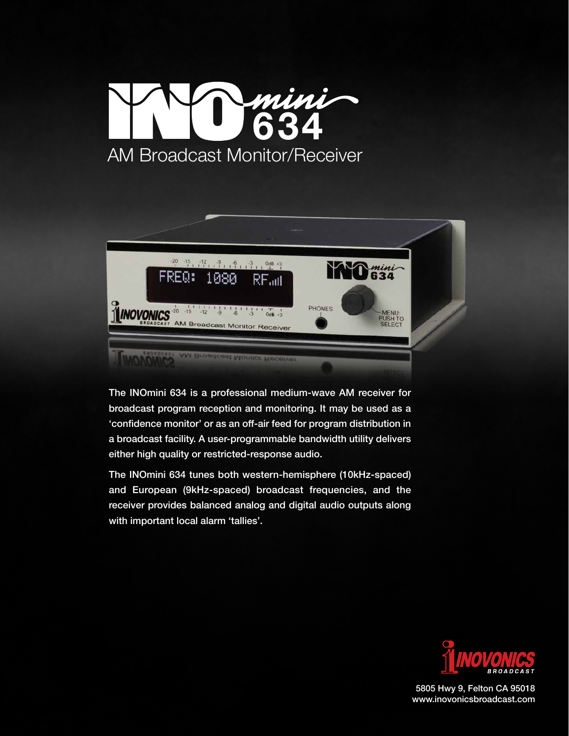



The INOmini 634 is a professional medium-wave AM receiver for broadcast program reception and monitoring. It may be used as a 'confidence monitor' or as an off-air feed for program distribution in a broadcast facility. A user-programmable bandwidth utility delivers either high quality or restricted-response audio.

The INOmini 634 tunes both western-hemisphere (10kHz-spaced) and European (9kHz-spaced) broadcast frequencies, and the receiver provides balanced analog and digital audio outputs along with important local alarm 'tallies'.



5805 Hwy 9, Felton CA 95018 www.inovonicsbroadcast.com